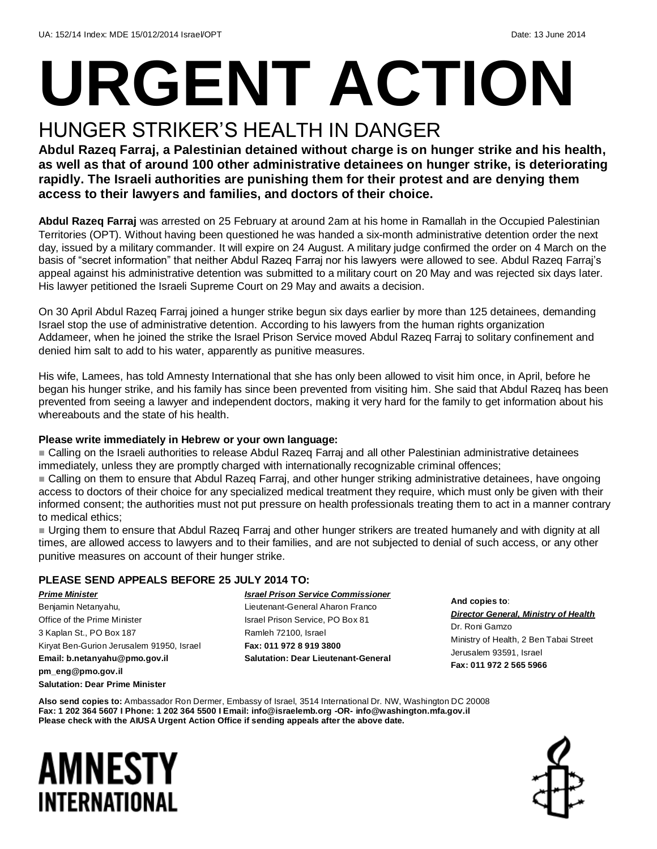# **URGENT ACTION**

### HUNGER STRIKER'S HEALTH IN DANGER

**Abdul Razeq Farraj, a Palestinian detained without charge is on hunger strike and his health, as well as that of around 100 other administrative detainees on hunger strike, is deteriorating rapidly. The Israeli authorities are punishing them for their protest and are denying them access to their lawyers and families, and doctors of their choice.**

**Abdul Razeq Farraj** was arrested on 25 February at around 2am at his home in Ramallah in the Occupied Palestinian Territories (OPT). Without having been questioned he was handed a six-month administrative detention order the next day, issued by a military commander. It will expire on 24 August. A military judge confirmed the order on 4 March on the basis of "secret information" that neither Abdul Razeq Farraj nor his lawyers were allowed to see. Abdul Razeq Farraj's appeal against his administrative detention was submitted to a military court on 20 May and was rejected six days later. His lawyer petitioned the Israeli Supreme Court on 29 May and awaits a decision.

On 30 April Abdul Razeq Farraj joined a hunger strike begun six days earlier by more than 125 detainees, demanding Israel stop the use of administrative detention. According to his lawyers from the human rights organization Addameer, when he joined the strike the Israel Prison Service moved Abdul Razeq Farraj to solitary confinement and denied him salt to add to his water, apparently as punitive measures.

His wife, Lamees, has told Amnesty International that she has only been allowed to visit him once, in April, before he began his hunger strike, and his family has since been prevented from visiting him. She said that Abdul Razeq has been prevented from seeing a lawyer and independent doctors, making it very hard for the family to get information about his whereabouts and the state of his health.

### **Please write immediately in Hebrew or your own language:**

 Calling on the Israeli authorities to release Abdul Razeq Farraj and all other Palestinian administrative detainees immediately, unless they are promptly charged with internationally recognizable criminal offences;

 Calling on them to ensure that Abdul Razeq Farraj, and other hunger striking administrative detainees, have ongoing access to doctors of their choice for any specialized medical treatment they require, which must only be given with their informed consent; the authorities must not put pressure on health professionals treating them to act in a manner contrary to medical ethics;

 Urging them to ensure that Abdul Razeq Farraj and other hunger strikers are treated humanely and with dignity at all times, are allowed access to lawyers and to their families, and are not subjected to denial of such access, or any other punitive measures on account of their hunger strike.

### **PLEASE SEND APPEALS BEFORE 25 JULY 2014 TO:**

*Prime Minister*  Benjamin Netanyahu, Office of the Prime Minister 3 Kaplan St., PO Box 187 Kiryat Ben-Gurion Jerusalem 91950, Israel **Email: b.netanyahu@pmo.gov.il pm\_eng@pmo.gov.il**

**Salutation: Dear Prime Minister**

*Israel Prison Service Commissioner* Lieutenant-General Aharon Franco Israel Prison Service, PO Box 81 Ramleh 72100, Israel **Fax: 011 972 8 919 3800 Salutation: Dear Lieutenant-General**

**And copies to**: *Director General, Ministry of Health* Dr. Roni Gamzo Ministry of Health, 2 Ben Tabai Street Jerusalem 93591, Israel **Fax: 011 972 2 565 5966**

**Also send copies to:** Ambassador Ron Dermer, Embassy of Israel, 3514 International Dr. NW, Washington DC 20008 **Fax: 1 202 364 5607 I Phone: 1 202 364 5500 I Email: info@israelemb.org -OR- info@washington.mfa.gov.il Please check with the AIUSA Urgent Action Office if sending appeals after the above date.** 

### AMNESTY INTERNATIONAL